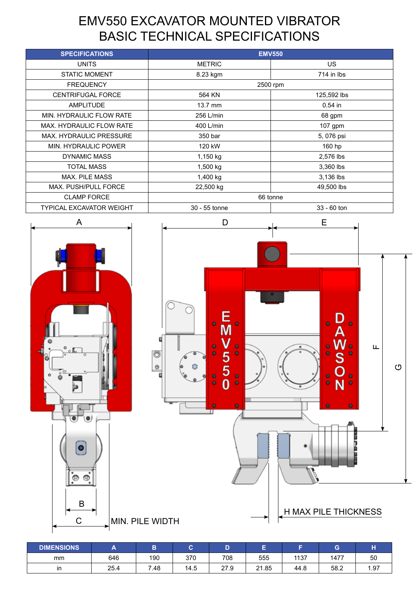# EMV550 EXCAVATOR MOUNTED VIBRATOR BASIC TECHNICAL SPECIFICATIONS

| <b>SPECIFICATIONS</b>           | <b>EMV550</b>     |                         |  |  |
|---------------------------------|-------------------|-------------------------|--|--|
| <b>UNITS</b>                    | <b>METRIC</b>     | US.                     |  |  |
| <b>STATIC MOMENT</b>            | 8.23 kgm          | $714$ in $\overline{1}$ |  |  |
| <b>FREQUENCY</b>                | 2500 rpm          |                         |  |  |
| <b>CENTRIFUGAL FORCE</b>        | 564 KN            | 125,592 lbs             |  |  |
| <b>AMPLITUDE</b>                | $13.7 \text{ mm}$ | $0.54$ in               |  |  |
| MIN. HYDRAULIC FLOW RATE        | 256 L/min         | 68 gpm                  |  |  |
| <b>MAX. HYDRAULIC FLOW RATE</b> | 400 L/min         | 107 gpm                 |  |  |
| <b>MAX. HYDRAULIC PRESSURE</b>  | 350 bar           | 5,076 psi               |  |  |
| MIN. HYDRAULIC POWER            | 120 kW            | 160 hp                  |  |  |
| DYNAMIC MASS                    | 1,150 kg          | 2,576 lbs               |  |  |
| <b>TOTAL MASS</b>               | 1,500 kg          | 3,360 lbs               |  |  |
| <b>MAX. PILE MASS</b>           | 1,400 kg          | 3,136 lbs               |  |  |
| MAX. PUSH/PULL FORCE            | 22,500 kg         | 49,500 lbs              |  |  |
| <b>CLAMP FORCE</b>              | 66 tonne          |                         |  |  |
| TYPICAL EXCAVATOR WEIGHT        | 30 - 55 tonne     | $33 - 60$ ton           |  |  |



| <b>DIMENSIONS</b> | $\overline{\phantom{a}}$ |      | ⌒<br>o |      | −     |      | G    |      |
|-------------------|--------------------------|------|--------|------|-------|------|------|------|
| mm                | 646                      | 190  | 370    | 708  | 555   | 1137 | 1477 | 50   |
| ın                | 25.4                     | 7.48 | 14.5   | 27.9 | 21.85 | 44.8 | 58.2 | 1.97 |